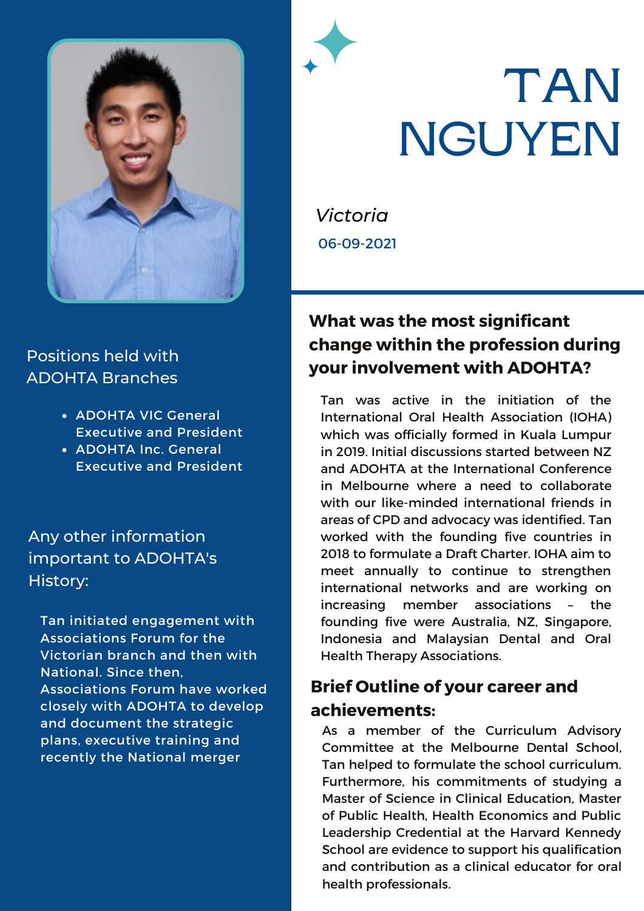

#### Positions held with ADOHTA Branches

- ADOHTA VIC General Executive and President
- ADOHTA Inc. General Executive and President

Any other information important to ADOHTA's History:

Tan initiated engagement with Associations Forum for the Victorian branch and then with National. Since then, Associations Forum have worked closely with ADOHTA to develop and document the strategic plans, executive training and recently the National merger

# **TAN NGUYEN**

*Victoria* 06-09-2021

### **What was the most significant change within the profession during your involvement with ADOHTA?**

Tan was active in the initiation of the International Oral Health Association (IOHA) which was officially formed in Kuala Lumpur in 2019. Initial discussions started between NZ and ADOHTA at the International Conference in Melbourne where a need to collaborate with our like-minded international friends in areas of CPD and advocacy was identified. Tan worked with the founding five countries in 2018 to formulate a Draft Charter. IOHA aim to meet annually to continue to strengthen international networks and are working on increasing member associations – the founding five were Australia, NZ, Singapore, Indonesia and Malaysian Dental and Oral Health Therapy Associations.

### **Brief Outline of your career and achievements:**

As a member of the Curriculum Advisory Committee at the Melbourne Dental School, Tan helped to formulate the school curriculum. Furthermore, his commitments of studying a Master of Science in Clinical Education, Master of Public Health, Health Economics and Public Leadership Credential at the Harvard Kennedy School are evidence to support his qualification and contribution as a clinical educator for oral health professionals.